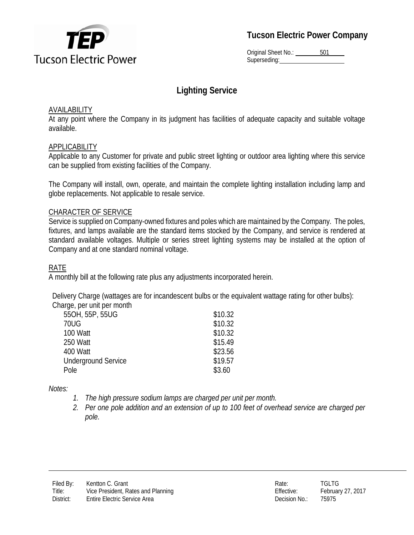

Original Sheet No.: 501 Superseding:

# **Lighting Service**

#### **AVAILABILITY**

At any point where the Company in its judgment has facilities of adequate capacity and suitable voltage available.

#### APPLICABILITY

Applicable to any Customer for private and public street lighting or outdoor area lighting where this service can be supplied from existing facilities of the Company.

The Company will install, own, operate, and maintain the complete lighting installation including lamp and globe replacements. Not applicable to resale service.

#### CHARACTER OF SERVICE

Service is supplied on Company-owned fixtures and poles which are maintained by the Company. The poles, fixtures, and lamps available are the standard items stocked by the Company, and service is rendered at standard available voltages. Multiple or series street lighting systems may be installed at the option of Company and at one standard nominal voltage.

### RATE

A monthly bill at the following rate plus any adjustments incorporated herein.

Delivery Charge (wattages are for incandescent bulbs or the equivalent wattage rating for other bulbs): Charge, per unit per month

| qorpos.cpo                 |         |
|----------------------------|---------|
| 55OH, 55P, 55UG            | \$10.32 |
| 70UG                       | \$10.32 |
| 100 Watt                   | \$10.32 |
| 250 Watt                   | \$15.49 |
| 400 Watt                   | \$23.56 |
| <b>Underground Service</b> | \$19.57 |
| Pole                       | \$3.60  |
|                            |         |

*Notes:*

- *1. The high pressure sodium lamps are charged per unit per month.*
- *2. Per one pole addition and an extension of up to 100 feet of overhead service are charged per pole.*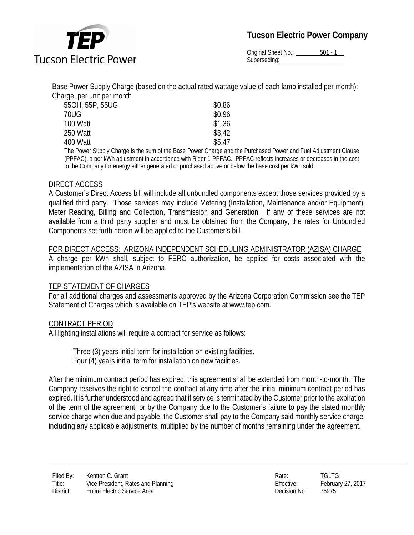

Original Sheet No.: 501 - 1 Superseding:

Base Power Supply Charge (based on the actual rated wattage value of each lamp installed per month): Charge, per unit per month

| 550H, 55P, 55UG                                                     | \$0.86 |
|---------------------------------------------------------------------|--------|
| 70UG                                                                | \$0.96 |
| 100 Watt                                                            | \$1.36 |
| 250 Watt                                                            | \$3.42 |
| 400 Watt                                                            | \$5.47 |
| The Dower Supply Charge is the sum of the Rase Dower Charge and the |        |

The Power Supply Charge is the sum of the Base Power Charge and the Purchased Power and Fuel Adjustment Clause (PPFAC), a per kWh adjustment in accordance with Rider-1-PPFAC. PPFAC reflects increases or decreases in the cost to the Company for energy either generated or purchased above or below the base cost per kWh sold.

#### DIRECT ACCESS

A Customer's Direct Access bill will include all unbundled components except those services provided by a qualified third party. Those services may include Metering (Installation, Maintenance and/or Equipment), Meter Reading, Billing and Collection, Transmission and Generation. If any of these services are not available from a third party supplier and must be obtained from the Company, the rates for Unbundled Components set forth herein will be applied to the Customer's bill.

#### FOR DIRECT ACCESS: ARIZONA INDEPENDENT SCHEDULING ADMINISTRATOR (AZISA) CHARGE

A charge per kWh shall, subject to FERC authorization, be applied for costs associated with the implementation of the AZISA in Arizona.

#### TEP STATEMENT OF CHARGES

For all additional charges and assessments approved by the Arizona Corporation Commission see the TEP Statement of Charges which is available on TEP's website at www.tep.com.

#### CONTRACT PERIOD

All lighting installations will require a contract for service as follows:

Three (3) years initial term for installation on existing facilities. Four (4) years initial term for installation on new facilities.

After the minimum contract period has expired, this agreement shall be extended from month-to-month. The Company reserves the right to cancel the contract at any time after the initial minimum contract period has expired. It is further understood and agreed that if service is terminated by the Customer prior to the expiration of the term of the agreement, or by the Company due to the Customer's failure to pay the stated monthly service charge when due and payable, the Customer shall pay to the Company said monthly service charge, including any applicable adjustments, multiplied by the number of months remaining under the agreement.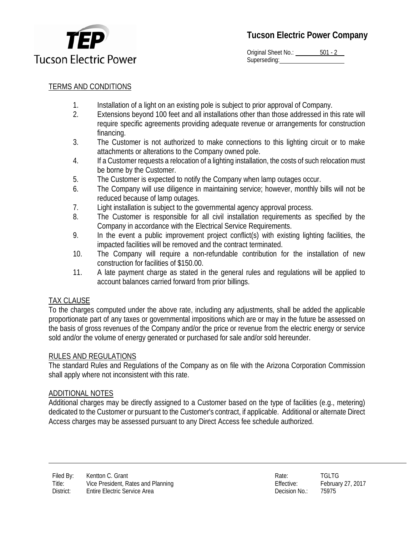

Original Sheet No.: 501 - 2 Superseding:

## TERMS AND CONDITIONS

- 1. Installation of a light on an existing pole is subject to prior approval of Company.
- 2. Extensions beyond 100 feet and all installations other than those addressed in this rate will require specific agreements providing adequate revenue or arrangements for construction financing.
- 3. The Customer is not authorized to make connections to this lighting circuit or to make attachments or alterations to the Company owned pole.
- 4. If a Customer requests a relocation of a lighting installation, the costs of such relocation must be borne by the Customer.
- 5. The Customer is expected to notify the Company when lamp outages occur.
- 6. The Company will use diligence in maintaining service; however, monthly bills will not be reduced because of lamp outages.
- 7. Light installation is subject to the governmental agency approval process.
- 8. The Customer is responsible for all civil installation requirements as specified by the Company in accordance with the Electrical Service Requirements.
- 9. In the event a public improvement project conflict(s) with existing lighting facilities, the impacted facilities will be removed and the contract terminated.
- 10. The Company will require a non-refundable contribution for the installation of new construction for facilities of \$150.00.
- 11. A late payment charge as stated in the general rules and regulations will be applied to account balances carried forward from prior billings.

### TAX CLAUSE

To the charges computed under the above rate, including any adjustments, shall be added the applicable proportionate part of any taxes or governmental impositions which are or may in the future be assessed on the basis of gross revenues of the Company and/or the price or revenue from the electric energy or service sold and/or the volume of energy generated or purchased for sale and/or sold hereunder.

#### RULES AND REGULATIONS

The standard Rules and Regulations of the Company as on file with the Arizona Corporation Commission shall apply where not inconsistent with this rate.

#### ADDITIONAL NOTES

Additional charges may be directly assigned to a Customer based on the type of facilities (e.g., metering) dedicated to the Customer or pursuant to the Customer's contract, if applicable. Additional or alternate Direct Access charges may be assessed pursuant to any Direct Access fee schedule authorized.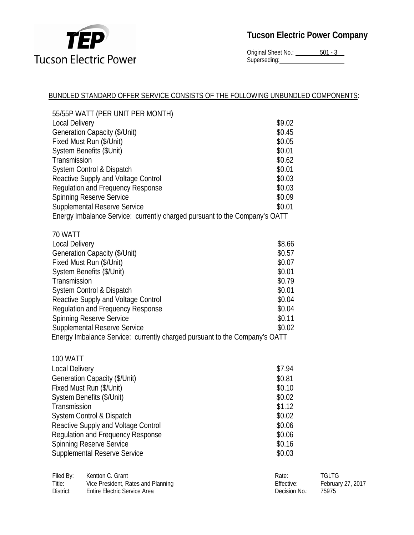

Original Sheet No.: 501 - 3 Superseding:

#### BUNDLED STANDARD OFFER SERVICE CONSISTS OF THE FOLLOWING UNBUNDLED COMPONENTS:

| 55/55P WATT (PER UNIT PER MONTH)                                                                                  |            |                   |  |
|-------------------------------------------------------------------------------------------------------------------|------------|-------------------|--|
| <b>Local Delivery</b>                                                                                             | \$9.02     |                   |  |
| Generation Capacity (\$/Unit)                                                                                     | \$0.45     |                   |  |
| Fixed Must Run (\$/Unit)                                                                                          | \$0.05     |                   |  |
| System Benefits (\$Unit)                                                                                          | \$0.01     |                   |  |
| Transmission                                                                                                      | \$0.62     |                   |  |
| System Control & Dispatch                                                                                         | \$0.01     |                   |  |
| Reactive Supply and Voltage Control                                                                               | \$0.03     |                   |  |
| <b>Regulation and Frequency Response</b>                                                                          | \$0.03     |                   |  |
| <b>Spinning Reserve Service</b>                                                                                   | \$0.09     |                   |  |
| <b>Supplemental Reserve Service</b>                                                                               | \$0.01     |                   |  |
| Energy Imbalance Service: currently charged pursuant to the Company's OATT                                        |            |                   |  |
|                                                                                                                   |            |                   |  |
| 70 WATT                                                                                                           |            |                   |  |
| <b>Local Delivery</b>                                                                                             | \$8.66     |                   |  |
| Generation Capacity (\$/Unit)                                                                                     | \$0.57     |                   |  |
| Fixed Must Run (\$/Unit)                                                                                          | \$0.07     |                   |  |
| System Benefits (\$/Unit)                                                                                         | \$0.01     |                   |  |
| Transmission                                                                                                      | \$0.79     |                   |  |
| System Control & Dispatch                                                                                         | \$0.01     |                   |  |
| Reactive Supply and Voltage Control                                                                               | \$0.04     |                   |  |
| <b>Regulation and Frequency Response</b>                                                                          | \$0.04     |                   |  |
| <b>Spinning Reserve Service</b>                                                                                   | \$0.11     |                   |  |
| <b>Supplemental Reserve Service</b><br>Energy Imbalance Service: currently charged pursuant to the Company's OATT | \$0.02     |                   |  |
|                                                                                                                   |            |                   |  |
|                                                                                                                   |            |                   |  |
| <b>100 WATT</b><br>Local Delivery                                                                                 | \$7.94     |                   |  |
| Generation Capacity (\$/Unit)                                                                                     | \$0.81     |                   |  |
| Fixed Must Run (\$/Unit)                                                                                          | \$0.10     |                   |  |
| System Benefits (\$/Unit)                                                                                         | \$0.02     |                   |  |
| Transmission                                                                                                      | \$1.12     |                   |  |
| System Control & Dispatch                                                                                         | \$0.02     |                   |  |
| Reactive Supply and Voltage Control                                                                               | \$0.06     |                   |  |
| Regulation and Frequency Response                                                                                 | \$0.06     |                   |  |
| <b>Spinning Reserve Service</b>                                                                                   | \$0.16     |                   |  |
| Supplemental Reserve Service                                                                                      | \$0.03     |                   |  |
|                                                                                                                   |            |                   |  |
| Filed By:<br>Kentton C. Grant                                                                                     | Rate:      | <b>TGLTG</b>      |  |
| Title:<br>Vice President, Rates and Planning                                                                      | Effective: | February 27, 2017 |  |

District: Entire Electric Service Area **Decision No.: 25975** Decision No.: 75975